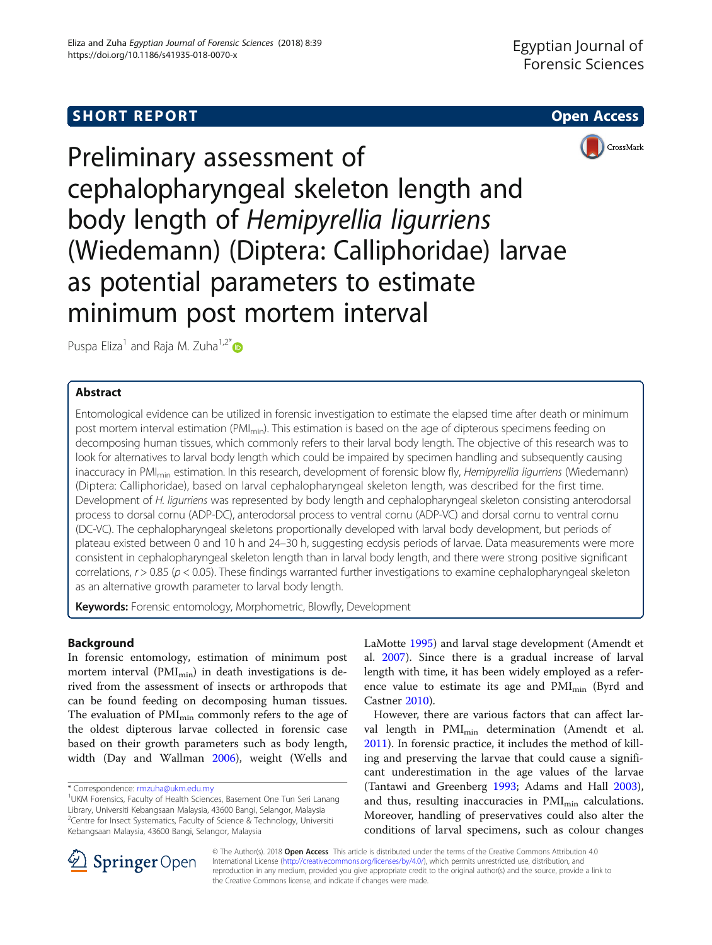# SHORT REPORT **The Contract of the Contract of Contract Contract Open Access**



CrossMark

Preliminary assessment of cephalopharyngeal skeleton length and body length of Hemipyrellia ligurriens (Wiedemann) (Diptera: Calliphoridae) larvae as potential parameters to estimate minimum post mortem interval

Puspa Eliza<sup>1</sup> and Raja M. Zuha<sup>1,2[\\*](http://orcid.org/0000-0003-0291-1388)</sup>

## Abstract

Entomological evidence can be utilized in forensic investigation to estimate the elapsed time after death or minimum post mortem interval estimation (PMI<sub>min</sub>). This estimation is based on the age of dipterous specimens feeding on decomposing human tissues, which commonly refers to their larval body length. The objective of this research was to look for alternatives to larval body length which could be impaired by specimen handling and subsequently causing inaccuracy in PMI<sub>min</sub> estimation. In this research, development of forensic blow fly, Hemipyrellia ligurriens (Wiedemann) (Diptera: Calliphoridae), based on larval cephalopharyngeal skeleton length, was described for the first time. Development of H. ligurriens was represented by body length and cephalopharyngeal skeleton consisting anterodorsal process to dorsal cornu (ADP-DC), anterodorsal process to ventral cornu (ADP-VC) and dorsal cornu to ventral cornu (DC-VC). The cephalopharyngeal skeletons proportionally developed with larval body development, but periods of plateau existed between 0 and 10 h and 24–30 h, suggesting ecdysis periods of larvae. Data measurements were more consistent in cephalopharyngeal skeleton length than in larval body length, and there were strong positive significant correlations,  $r > 0.85$  ( $p < 0.05$ ). These findings warranted further investigations to examine cephalopharyngeal skeleton as an alternative growth parameter to larval body length.

**Keywords:** Forensic entomology, Morphometric, Blowfly, Development

## Background

In forensic entomology, estimation of minimum post mortem interval ( $PMI_{min}$ ) in death investigations is derived from the assessment of insects or arthropods that can be found feeding on decomposing human tissues. The evaluation of  $PMI_{min}$  commonly refers to the age of the oldest dipterous larvae collected in forensic case based on their growth parameters such as body length, width (Day and Wallman [2006](#page-5-0)), weight (Wells and

LaMotte [1995](#page-6-0)) and larval stage development (Amendt et al. [2007](#page-5-0)). Since there is a gradual increase of larval length with time, it has been widely employed as a reference value to estimate its age and  $PMI_{min}$  (Byrd and Castner [2010\)](#page-5-0).

However, there are various factors that can affect larval length in PMI<sub>min</sub> determination (Amendt et al. [2011](#page-5-0)). In forensic practice, it includes the method of killing and preserving the larvae that could cause a significant underestimation in the age values of the larvae (Tantawi and Greenberg [1993](#page-6-0); Adams and Hall [2003](#page-5-0)), and thus, resulting inaccuracies in PMI<sub>min</sub> calculations. Moreover, handling of preservatives could also alter the conditions of larval specimens, such as colour changes



© The Author(s). 2018 Open Access This article is distributed under the terms of the Creative Commons Attribution 4.0 International License ([http://creativecommons.org/licenses/by/4.0/\)](http://creativecommons.org/licenses/by/4.0/), which permits unrestricted use, distribution, and reproduction in any medium, provided you give appropriate credit to the original author(s) and the source, provide a link to the Creative Commons license, and indicate if changes were made.

<sup>\*</sup> Correspondence: [rmzuha@ukm.edu.my](mailto:rmzuha@ukm.edu.my) <sup>1</sup>

<sup>&</sup>lt;sup>1</sup>UKM Forensics, Faculty of Health Sciences, Basement One Tun Seri Lanang Library, Universiti Kebangsaan Malaysia, 43600 Bangi, Selangor, Malaysia <sup>2</sup>Centre for Insect Systematics, Faculty of Science & Technology, Universiti Kebangsaan Malaysia, 43600 Bangi, Selangor, Malaysia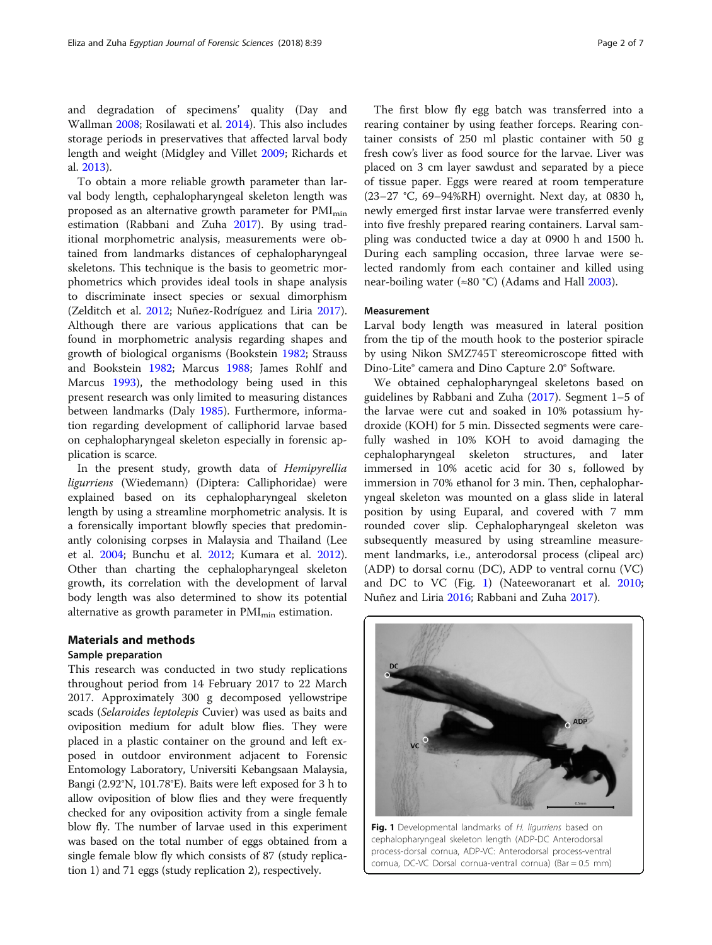and degradation of specimens' quality (Day and Wallman [2008;](#page-5-0) Rosilawati et al. [2014\)](#page-6-0). This also includes storage periods in preservatives that affected larval body length and weight (Midgley and Villet [2009](#page-6-0); Richards et al. [2013](#page-6-0)).

To obtain a more reliable growth parameter than larval body length, cephalopharyngeal skeleton length was proposed as an alternative growth parameter for  $PMI_{min}$ estimation (Rabbani and Zuha [2017](#page-6-0)). By using traditional morphometric analysis, measurements were obtained from landmarks distances of cephalopharyngeal skeletons. This technique is the basis to geometric morphometrics which provides ideal tools in shape analysis to discriminate insect species or sexual dimorphism (Zelditch et al. [2012;](#page-6-0) Nuñez-Rodríguez and Liria [2017](#page-6-0)). Although there are various applications that can be found in morphometric analysis regarding shapes and growth of biological organisms (Bookstein [1982;](#page-5-0) Strauss and Bookstein [1982](#page-6-0); Marcus [1988](#page-6-0); James Rohlf and Marcus [1993\)](#page-6-0), the methodology being used in this present research was only limited to measuring distances between landmarks (Daly [1985\)](#page-5-0). Furthermore, information regarding development of calliphorid larvae based on cephalopharyngeal skeleton especially in forensic application is scarce.

In the present study, growth data of Hemipyrellia ligurriens (Wiedemann) (Diptera: Calliphoridae) were explained based on its cephalopharyngeal skeleton length by using a streamline morphometric analysis. It is a forensically important blowfly species that predominantly colonising corpses in Malaysia and Thailand (Lee et al. [2004](#page-6-0); Bunchu et al. [2012;](#page-5-0) Kumara et al. [2012](#page-6-0)). Other than charting the cephalopharyngeal skeleton growth, its correlation with the development of larval body length was also determined to show its potential alternative as growth parameter in  $PMI_{min}$  estimation.

## Materials and methods

## Sample preparation

This research was conducted in two study replications throughout period from 14 February 2017 to 22 March 2017. Approximately 300 g decomposed yellowstripe scads (Selaroides leptolepis Cuvier) was used as baits and oviposition medium for adult blow flies. They were placed in a plastic container on the ground and left exposed in outdoor environment adjacent to Forensic Entomology Laboratory, Universiti Kebangsaan Malaysia, Bangi (2.92°N, 101.78°E). Baits were left exposed for 3 h to allow oviposition of blow flies and they were frequently checked for any oviposition activity from a single female blow fly. The number of larvae used in this experiment was based on the total number of eggs obtained from a single female blow fly which consists of 87 (study replication 1) and 71 eggs (study replication 2), respectively.

The first blow fly egg batch was transferred into a rearing container by using feather forceps. Rearing container consists of 250 ml plastic container with 50 g fresh cow's liver as food source for the larvae. Liver was placed on 3 cm layer sawdust and separated by a piece of tissue paper. Eggs were reared at room temperature (23–27 °C, 69–94%RH) overnight. Next day, at 0830 h, newly emerged first instar larvae were transferred evenly into five freshly prepared rearing containers. Larval sampling was conducted twice a day at 0900 h and 1500 h. During each sampling occasion, three larvae were selected randomly from each container and killed using near-boiling water (≈80 °C) (Adams and Hall [2003\)](#page-5-0).

## Measurement

Larval body length was measured in lateral position from the tip of the mouth hook to the posterior spiracle by using Nikon SMZ745T stereomicroscope fitted with Dino-Lite® camera and Dino Capture 2.0® Software.

We obtained cephalopharyngeal skeletons based on guidelines by Rabbani and Zuha ([2017](#page-6-0)). Segment 1–5 of the larvae were cut and soaked in 10% potassium hydroxide (KOH) for 5 min. Dissected segments were carefully washed in 10% KOH to avoid damaging the cephalopharyngeal skeleton structures, and later immersed in 10% acetic acid for 30 s, followed by immersion in 70% ethanol for 3 min. Then, cephalopharyngeal skeleton was mounted on a glass slide in lateral position by using Euparal, and covered with 7 mm rounded cover slip. Cephalopharyngeal skeleton was subsequently measured by using streamline measurement landmarks, i.e., anterodorsal process (clipeal arc) (ADP) to dorsal cornu (DC), ADP to ventral cornu (VC) and DC to VC (Fig. 1) (Nateeworanart et al. [2010](#page-6-0); Nuñez and Liria [2016;](#page-6-0) Rabbani and Zuha [2017\)](#page-6-0).



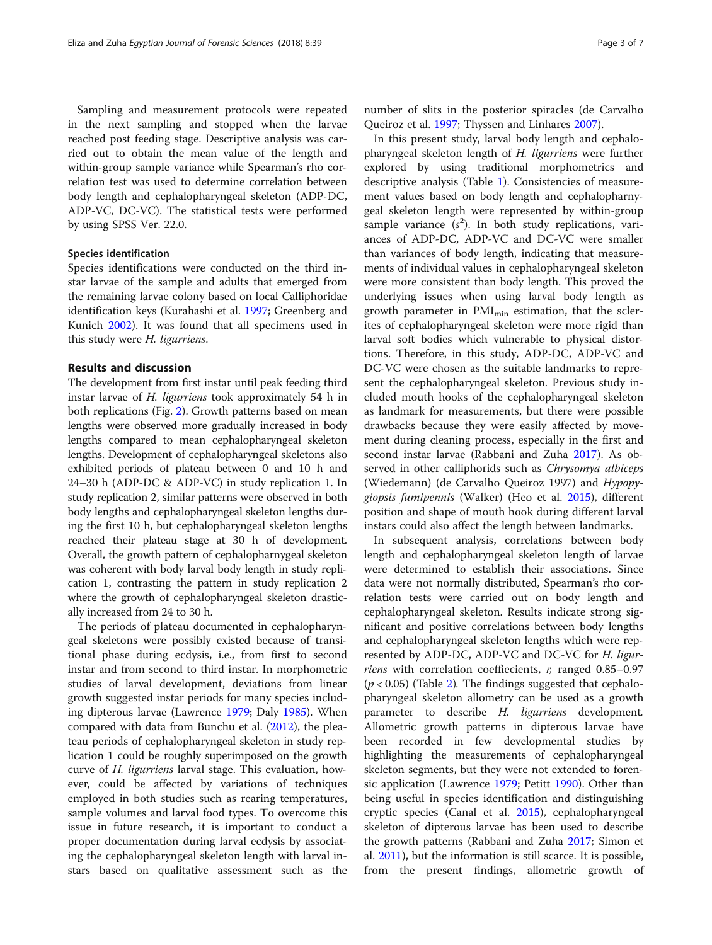Sampling and measurement protocols were repeated in the next sampling and stopped when the larvae reached post feeding stage. Descriptive analysis was carried out to obtain the mean value of the length and within-group sample variance while Spearman's rho correlation test was used to determine correlation between body length and cephalopharyngeal skeleton (ADP-DC, ADP-VC, DC-VC). The statistical tests were performed by using SPSS Ver. 22.0.

## Species identification

Species identifications were conducted on the third instar larvae of the sample and adults that emerged from the remaining larvae colony based on local Calliphoridae identification keys (Kurahashi et al. [1997](#page-6-0); Greenberg and Kunich [2002](#page-5-0)). It was found that all specimens used in this study were H. ligurriens.

### Results and discussion

The development from first instar until peak feeding third instar larvae of H. ligurriens took approximately 54 h in both replications (Fig. [2](#page-3-0)). Growth patterns based on mean lengths were observed more gradually increased in body lengths compared to mean cephalopharyngeal skeleton lengths. Development of cephalopharyngeal skeletons also exhibited periods of plateau between 0 and 10 h and 24–30 h (ADP-DC & ADP-VC) in study replication 1. In study replication 2, similar patterns were observed in both body lengths and cephalopharyngeal skeleton lengths during the first 10 h, but cephalopharyngeal skeleton lengths reached their plateau stage at 30 h of development. Overall, the growth pattern of cephalopharnygeal skeleton was coherent with body larval body length in study replication 1, contrasting the pattern in study replication 2 where the growth of cephalopharyngeal skeleton drastically increased from 24 to 30 h.

The periods of plateau documented in cephalopharyngeal skeletons were possibly existed because of transitional phase during ecdysis, i.e., from first to second instar and from second to third instar. In morphometric studies of larval development, deviations from linear growth suggested instar periods for many species including dipterous larvae (Lawrence [1979;](#page-6-0) Daly [1985](#page-5-0)). When compared with data from Bunchu et al. [\(2012\)](#page-5-0), the pleateau periods of cephalopharyngeal skeleton in study replication 1 could be roughly superimposed on the growth curve of H. ligurriens larval stage. This evaluation, however, could be affected by variations of techniques employed in both studies such as rearing temperatures, sample volumes and larval food types. To overcome this issue in future research, it is important to conduct a proper documentation during larval ecdysis by associating the cephalopharyngeal skeleton length with larval instars based on qualitative assessment such as the number of slits in the posterior spiracles (de Carvalho Queiroz et al. [1997;](#page-5-0) Thyssen and Linhares [2007](#page-6-0)).

In this present study, larval body length and cephalopharyngeal skeleton length of H. ligurriens were further explored by using traditional morphometrics and descriptive analysis (Table [1](#page-4-0)). Consistencies of measurement values based on body length and cephalopharnygeal skeleton length were represented by within-group sample variance  $(s^2)$ . In both study replications, variances of ADP-DC, ADP-VC and DC-VC were smaller than variances of body length, indicating that measurements of individual values in cephalopharyngeal skeleton were more consistent than body length. This proved the underlying issues when using larval body length as growth parameter in  $PMI_{\text{min}}$  estimation, that the sclerites of cephalopharyngeal skeleton were more rigid than larval soft bodies which vulnerable to physical distortions. Therefore, in this study, ADP-DC, ADP-VC and DC-VC were chosen as the suitable landmarks to represent the cephalopharyngeal skeleton. Previous study included mouth hooks of the cephalopharyngeal skeleton as landmark for measurements, but there were possible drawbacks because they were easily affected by movement during cleaning process, especially in the first and second instar larvae (Rabbani and Zuha [2017\)](#page-6-0). As observed in other calliphorids such as Chrysomya albiceps (Wiedemann) (de Carvalho Queiroz 1997) and Hypopygiopsis fumipennis (Walker) (Heo et al. [2015](#page-5-0)), different position and shape of mouth hook during different larval instars could also affect the length between landmarks.

In subsequent analysis, correlations between body length and cephalopharyngeal skeleton length of larvae were determined to establish their associations. Since data were not normally distributed, Spearman's rho correlation tests were carried out on body length and cephalopharyngeal skeleton. Results indicate strong significant and positive correlations between body lengths and cephalopharyngeal skeleton lengths which were represented by ADP-DC, ADP-VC and DC-VC for H. ligur*riens* with correlation coeffiecients,  $r$ , ranged  $0.85-0.97$  $(p < 0.05)$  (Table [2\)](#page-5-0). The findings suggested that cephalopharyngeal skeleton allometry can be used as a growth parameter to describe H. ligurriens development. Allometric growth patterns in dipterous larvae have been recorded in few developmental studies by highlighting the measurements of cephalopharyngeal skeleton segments, but they were not extended to forensic application (Lawrence [1979](#page-6-0); Petitt [1990\)](#page-6-0). Other than being useful in species identification and distinguishing cryptic species (Canal et al. [2015\)](#page-5-0), cephalopharyngeal skeleton of dipterous larvae has been used to describe the growth patterns (Rabbani and Zuha [2017;](#page-6-0) Simon et al. [2011](#page-6-0)), but the information is still scarce. It is possible, from the present findings, allometric growth of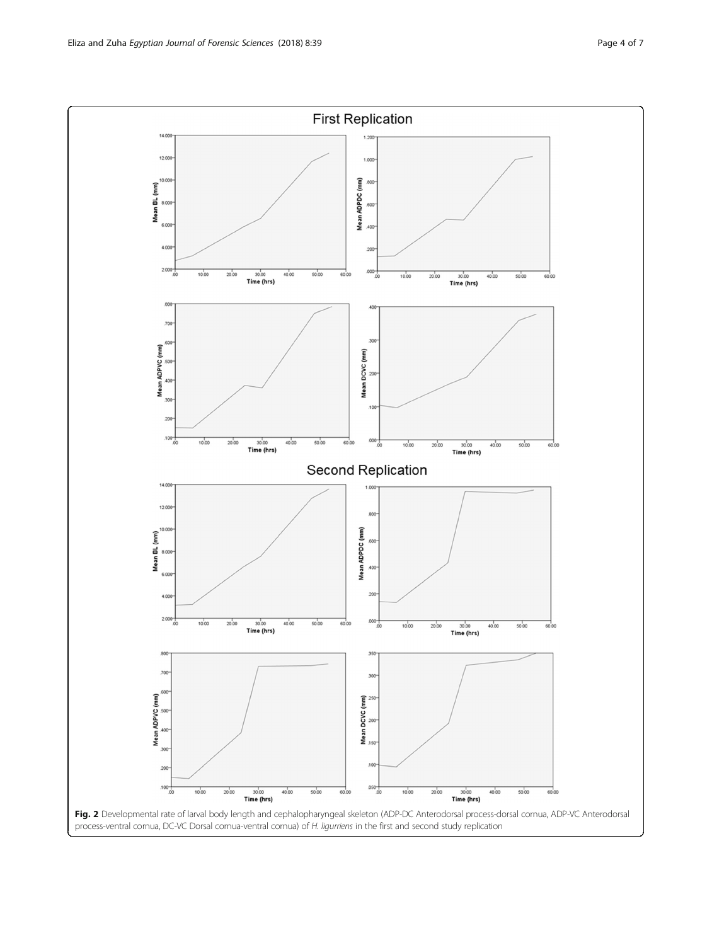<span id="page-3-0"></span>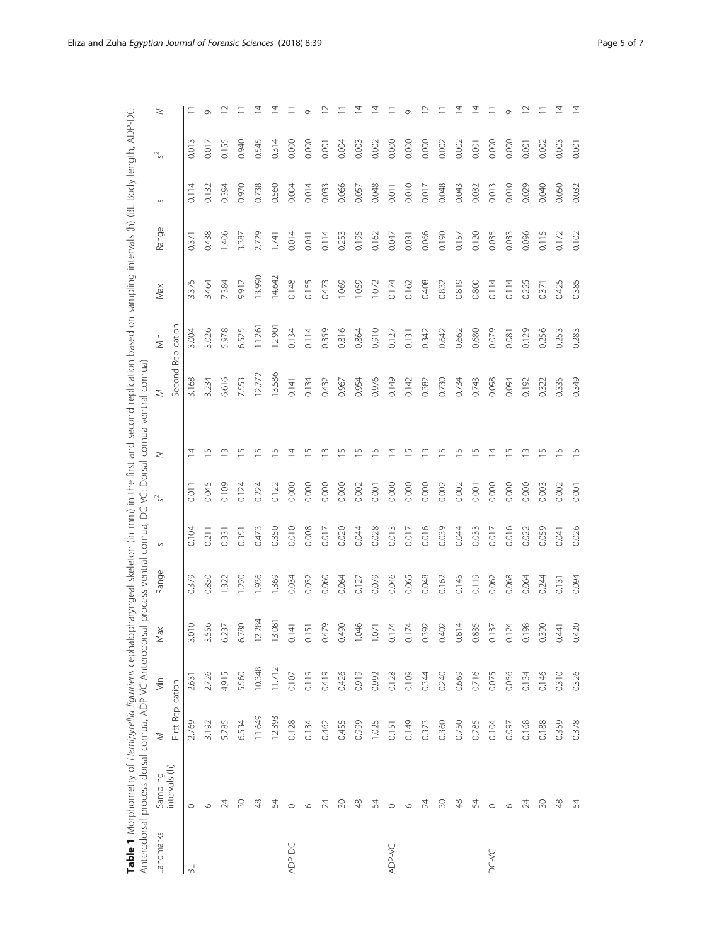|           | Anterodorsal process-dorsal cornua, ADP-VC Anterodorsal process-ventral cornua, DC-VC: Dorsal cornua-ventral cornua) |                   |        |            |       |        |        |        |                    |        |        |       |         |        |   |
|-----------|----------------------------------------------------------------------------------------------------------------------|-------------------|--------|------------|-------|--------|--------|--------|--------------------|--------|--------|-------|---------|--------|---|
| Landmarks | Sampling<br>intervals (h)                                                                                            | $\geq$            | Min    | Max        | Range | $\sim$ | $\sim$ | $\geq$ | $\geq$             | Min    | Max    | Range | $\circ$ | $\sim$ | z |
|           |                                                                                                                      | First Replication |        |            |       |        |        |        | Second Replication |        |        |       |         |        |   |
| ᆱ         | $\circ$                                                                                                              | 2.769             | 2.63   | 3.010      | 0.379 | 0.104  | 0.011  | Ξ      | 3.168              | 3.004  | 3.375  | 0.371 | 0.114   | 0.013  |   |
|           | $\circ$                                                                                                              | 3.192             | 2.726  | .556<br>ന് | 0.830 | 0.211  | 0.045  | 5      | 3.234              | 3.026  | 3.464  | 0.438 | 0.132   | 0.017  |   |
|           | 24                                                                                                                   | 5.785             | 4.915  | 6.237      | 1.322 | 0.331  | 0.109  |        | 6.616              | 5.978  | 7.384  | 1.406 | 0.394   | 0.155  |   |
|           | $\approx$                                                                                                            | 6.534             | 5.560  | 6.780      | 1.220 | 0.351  | 0.124  |        | 7.553              | 6.525  | 9.912  | 3.387 | 0.970   | 0.940  |   |
|           | $\frac{8}{4}$                                                                                                        | 11.649            | 10.348 | 2.284      | 1.936 | 0.473  | 0.224  |        | 12.772             | 11.261 | 13.990 | 2.729 | 0.738   | 0.545  |   |
|           | 54                                                                                                                   | 12.393            | 11.712 | 3.081      | 1.369 | 0.350  | 0.122  |        | 13.586             | 12.901 | 14.642 | 1.741 | 0.560   | 0.314  |   |
| ADP-DC    | $\circ$                                                                                                              | 0.128             | 0.107  | 0.141      | 0.034 | 0.010  | 0.000  |        | 0.141              | 0.134  | 0.148  | 0.014 | 0.004   | 0.000  |   |
|           | $\circ$                                                                                                              | 0.134             | 0.119  | 0.151      | 0.032 | 0.008  | 0.000  |        | 0.134              | 0.114  | 0.155  | 0.041 | 0.014   | 0.000  |   |
|           | 24                                                                                                                   | 0.462             | 0.419  | 1479       | 0.060 | 0.017  | 0.000  |        | 0.432              | 0.359  | 0.473  | 0.114 | 0.033   | 0.001  |   |
|           | $\approx$                                                                                                            | 0.455             | 0.426  | 0.490      | 0.064 | 0.020  | 0.000  |        | 0.967              | 0.816  | 1.069  | 0.253 | 0.066   | 0.004  |   |
|           | $\frac{8}{4}$                                                                                                        | 0.999             | 0.919  | .046       | 0.127 | 0.044  | 0.002  |        | 0.954              | 0.864  | 1.059  | 0.195 | 0.057   | 0.003  |   |
|           | 54                                                                                                                   | 1.025             | 0.992  | 071        | 0.079 | 0.028  | 0.001  |        | 0.976              | 0.910  | 1.072  | 0.162 | 0.048   | 0.002  |   |
| ADP-VC    | $\circ$                                                                                                              | 0.151             | 0.128  | 0.174      | 0.046 | 0.013  | 0.000  |        | 0.149              | 0.127  | 0.174  | 0.047 | 0.011   | 0.000  |   |
|           | $\circ$                                                                                                              | 0.149             | 0.109  | 0.174      | 0.065 | 0.017  | 0.000  |        | 0.142              | 0.131  | 0.162  | 0.031 | 0.010   | 0.000  |   |
|           | 24                                                                                                                   | 0.373             | 0.344  | 0.392      | 0.048 | 0.016  | 0.000  |        | 0.382              | 0.342  | 0.408  | 0.066 | 0.017   | 0.000  |   |
|           | $\overline{50}$                                                                                                      | 0.360             | 0.240  | 0.402      | 0.162 | 0.039  | 0.002  |        | 0.730              | 0.642  | 0.832  | 0.190 | 0.048   | 0.002  |   |
|           | $\frac{8}{4}$                                                                                                        | 0.750             | 0.669  | 0.814      | 0.145 | 0.044  | 0.002  |        | 0.734              | 0.662  | 0.819  | 0.157 | 0.043   | 0.002  |   |
|           | 54                                                                                                                   | 0.785             | 0.716  | 0.835      | 0.119 | 0.033  | 0.001  |        | 0.743              | 0.680  | 0.800  | 0.120 | 0.032   | 0.001  |   |
| DC-VC     | $\circ$                                                                                                              | 0.104             | 0.075  | 0.137      | 0.062 | 0.017  | 0.000  |        | 0.098              | 0.079  | 0.114  | 0.035 | 0.013   | 0.000  |   |
|           | $\circ$                                                                                                              | 0.097             | 0.056  | 0.124      | 0.068 | 0.016  | 0.000  |        | 0.094              | 0.081  | 0.114  | 0.033 | 0.010   | 0.000  |   |
|           | $\geqslant$                                                                                                          | 0.168             | 0.134  | 0.198      | 0.064 | 0.022  | 0.000  |        | 0.192              | 0.129  | 0.225  | 0.096 | 0.029   | 0.001  |   |
|           | $\overline{50}$                                                                                                      | 0.188             | 0.146  | 0.390      | 0.244 | 0.059  | 0.003  |        | 0.322              | 0.256  | 0.371  | 0.115 | 0.040   | 0.002  |   |
|           | 48                                                                                                                   | 0.359             | 0.310  | 0.441      | 0.131 | 0.041  | 0.002  |        | 0.335              | 0.253  | 0.425  | 0.172 | 0.050   | 0.003  |   |
|           | 54                                                                                                                   | 0.378             | 0.326  | 0.420      | 0.094 | 0.026  | 0.001  | L      | 0.349              | 0.283  | 0.385  | 0.102 | 0.032   | 0.001  |   |

<span id="page-4-0"></span>Table 1 Morphometry of Hemipyrellia liqurriens cephalopharyngeal skeleton (in mm) in the first and second replication based on sampling intervals (h) (BL Body length, ADP-DC Table 1 Morphometry of Hemipyrellia ligurriens cephalopharyngeal skeleton (in mm) in the first and second replication based on sampling intervals (h) (BL Body length, ADP-DC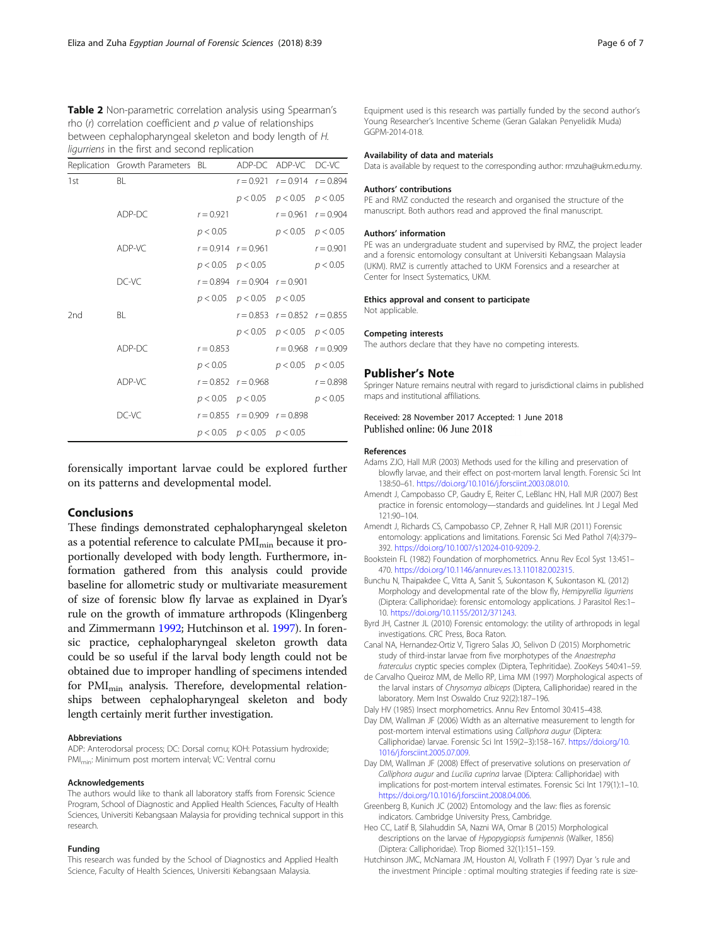<span id="page-5-0"></span>Table 2 Non-parametric correlation analysis using Spearman's rho  $(r)$  correlation coefficient and  $p$  value of relationships between cephalopharyngeal skeleton and body length of H. ligurriens in the first and second replication

|     | Replication Growth Parameters BL |                       |                                     | ADP-DC ADP-VC DC-VC                 |             |
|-----|----------------------------------|-----------------------|-------------------------------------|-------------------------------------|-------------|
| 1st | BL                               |                       |                                     | $r = 0.921$ $r = 0.914$ $r = 0.894$ |             |
|     |                                  |                       |                                     | $p < 0.05$ $p < 0.05$ $p < 0.05$    |             |
|     | ADP-DC                           | $r = 0.921$           |                                     | $r = 0.961$ $r = 0.904$             |             |
|     |                                  | p < 0.05              |                                     | $p < 0.05$ $p < 0.05$               |             |
|     | ADP-VC                           |                       | $r = 0.914$ $r = 0.961$             |                                     | $r = 0.901$ |
|     |                                  | $p < 0.05$ $p < 0.05$ |                                     |                                     | p < 0.05    |
|     | DC-VC                            |                       | $r = 0.894$ $r = 0.904$ $r = 0.901$ |                                     |             |
|     |                                  |                       | $p < 0.05$ $p < 0.05$ $p < 0.05$    |                                     |             |
| 2nd | BL                               |                       |                                     | $r = 0.853$ $r = 0.852$ $r = 0.855$ |             |
|     |                                  |                       |                                     | $p < 0.05$ $p < 0.05$ $p < 0.05$    |             |
|     | ADP-DC                           | $r = 0.853$           |                                     | $r = 0.968$ $r = 0.909$             |             |
|     |                                  | p < 0.05              |                                     | $p < 0.05$ $p < 0.05$               |             |
|     | ADP-VC                           |                       | $r = 0.852$ $r = 0.968$             |                                     | $r = 0.898$ |
|     |                                  | $p < 0.05$ $p < 0.05$ |                                     |                                     | p < 0.05    |
|     | DC-VC                            |                       | $r = 0.855$ $r = 0.909$ $r = 0.898$ |                                     |             |
|     |                                  |                       | $p < 0.05$ $p < 0.05$ $p < 0.05$    |                                     |             |

forensically important larvae could be explored further on its patterns and developmental model.

## Conclusions

These findings demonstrated cephalopharyngeal skeleton as a potential reference to calculate PMI<sub>min</sub> because it proportionally developed with body length. Furthermore, information gathered from this analysis could provide baseline for allometric study or multivariate measurement of size of forensic blow fly larvae as explained in Dyar's rule on the growth of immature arthropods (Klingenberg and Zimmermann [1992;](#page-6-0) Hutchinson et al. 1997). In forensic practice, cephalopharyngeal skeleton growth data could be so useful if the larval body length could not be obtained due to improper handling of specimens intended for  $PMI_{min}$  analysis. Therefore, developmental relationships between cephalopharyngeal skeleton and body length certainly merit further investigation.

#### Abbreviations

ADP: Anterodorsal process; DC: Dorsal cornu; KOH: Potassium hydroxide; PMI<sub>min</sub>: Minimum post mortem interval; VC: Ventral cornu

#### Acknowledgements

The authors would like to thank all laboratory staffs from Forensic Science Program, School of Diagnostic and Applied Health Sciences, Faculty of Health Sciences, Universiti Kebangsaan Malaysia for providing technical support in this research.

#### Funding

This research was funded by the School of Diagnostics and Applied Health Science, Faculty of Health Sciences, Universiti Kebangsaan Malaysia.

Equipment used is this research was partially funded by the second author's Young Researcher's Incentive Scheme (Geran Galakan Penyelidik Muda) GGPM-2014-018.

#### Availability of data and materials

Data is available by request to the corresponding author: rmzuha@ukm.edu.my.

#### Authors' contributions

PE and RMZ conducted the research and organised the structure of the manuscript. Both authors read and approved the final manuscript.

### Authors' information

PE was an undergraduate student and supervised by RMZ, the project leader and a forensic entomology consultant at Universiti Kebangsaan Malaysia (UKM). RMZ is currently attached to UKM Forensics and a researcher at Center for Insect Systematics, UKM.

### Ethics approval and consent to participate

Not applicable.

#### Competing interests

The authors declare that they have no competing interests.

#### Publisher's Note

Springer Nature remains neutral with regard to jurisdictional claims in published maps and institutional affiliations.

Received: 28 November 2017 Accepted: 1 June 2018

#### References

- Adams ZJO, Hall MJR (2003) Methods used for the killing and preservation of blowfly larvae, and their effect on post-mortem larval length. Forensic Sci Int 138:50–61. <https://doi.org/10.1016/j.forsciint.2003.08.010>.
- Amendt J, Campobasso CP, Gaudry E, Reiter C, LeBlanc HN, Hall MJR (2007) Best practice in forensic entomology—standards and guidelines. Int J Legal Med 121:90–104.
- Amendt J, Richards CS, Campobasso CP, Zehner R, Hall MJR (2011) Forensic entomology: applications and limitations. Forensic Sci Med Pathol 7(4):379– 392. [https://doi.org/10.1007/s12024-010-9209-2.](https://doi.org/10.1007/s12024-010-9209-2)
- Bookstein FL (1982) Foundation of morphometrics. Annu Rev Ecol Syst 13:451– 470. <https://doi.org/10.1146/annurev.es.13.110182.002315>.
- Bunchu N, Thaipakdee C, Vitta A, Sanit S, Sukontason K, Sukontason KL (2012) Morphology and developmental rate of the blow fly, Hemipyrellia ligurriens (Diptera: Calliphoridae): forensic entomology applications. J Parasitol Res:1– 10. [https://doi.org/10.1155/2012/371243.](https://doi.org/10.1155/2012/371243)
- Byrd JH, Castner JL (2010) Forensic entomology: the utility of arthropods in legal investigations. CRC Press, Boca Raton.
- Canal NA, Hernandez-Ortiz V, Tigrero Salas JO, Selivon D (2015) Morphometric study of third-instar larvae from five morphotypes of the Anaestrepha fraterculus cryptic species complex (Diptera, Tephritidae). ZooKeys 540:41–59.
- de Carvalho Queiroz MM, de Mello RP, Lima MM (1997) Morphological aspects of the larval instars of Chrysomya albiceps (Diptera, Calliphoridae) reared in the laboratory. Mem Inst Oswaldo Cruz 92(2):187–196.
- Daly HV (1985) Insect morphometrics. Annu Rev Entomol 30:415–438.
- Day DM, Wallman JF (2006) Width as an alternative measurement to length for post-mortem interval estimations using Calliphora augur (Diptera: Calliphoridae) larvae. Forensic Sci Int 159(2–3):158–167. [https://doi.org/10.](https://doi.org/10.1016/j.forsciint.2005.07.009) [1016/j.forsciint.2005.07.009](https://doi.org/10.1016/j.forsciint.2005.07.009).
- Day DM, Wallman JF (2008) Effect of preservative solutions on preservation of Calliphora augur and Lucilia cuprina larvae (Diptera: Calliphoridae) with implications for post-mortem interval estimates. Forensic Sci Int 179(1):1–10. <https://doi.org/10.1016/j.forsciint.2008.04.006>.
- Greenberg B, Kunich JC (2002) Entomology and the law: flies as forensic indicators. Cambridge University Press, Cambridge.
- Heo CC, Latif B, Silahuddin SA, Nazni WA, Omar B (2015) Morphological descriptions on the larvae of Hypopygiopsis fumipennis (Walker, 1856) (Diptera: Calliphoridae). Trop Biomed 32(1):151–159.
- Hutchinson JMC, McNamara JM, Houston AI, Vollrath F (1997) Dyar 's rule and the investment Principle : optimal moulting strategies if feeding rate is size-